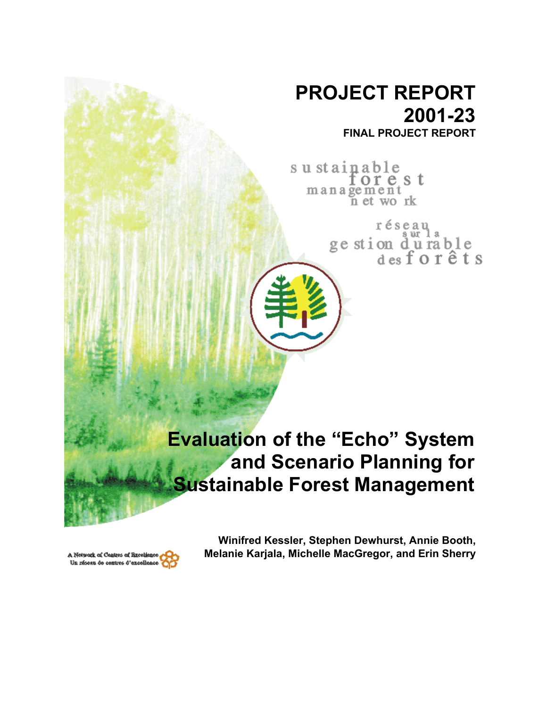# **PROJECT REPORT 2001-23 FINAL PROJECT REPORT**

sustainable orest management<br>net work

> réseau ge stion durable<br>desforêts

# **Evaluation of the "Echo" System and Scenario Planning for Sustainable Forest Management**



**Winifred Kessler, Stephen Dewhurst, Annie Booth, Melanie Karjala, Michelle MacGregor, and Erin Sherry**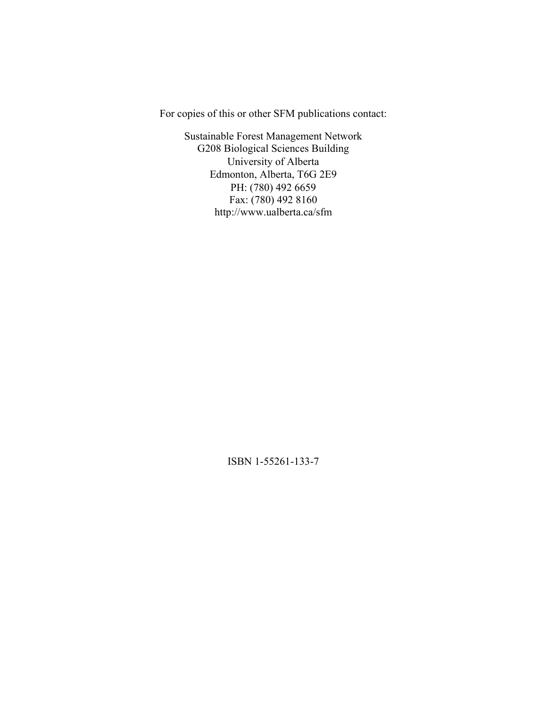For copies of this or other SFM publications contact:

Sustainable Forest Management Network G208 Biological Sciences Building University of Alberta Edmonton, Alberta, T6G 2E9 PH: (780) 492 6659 Fax: (780) 492 8160 http://www.ualberta.ca/sfm

ISBN 1-55261-133-7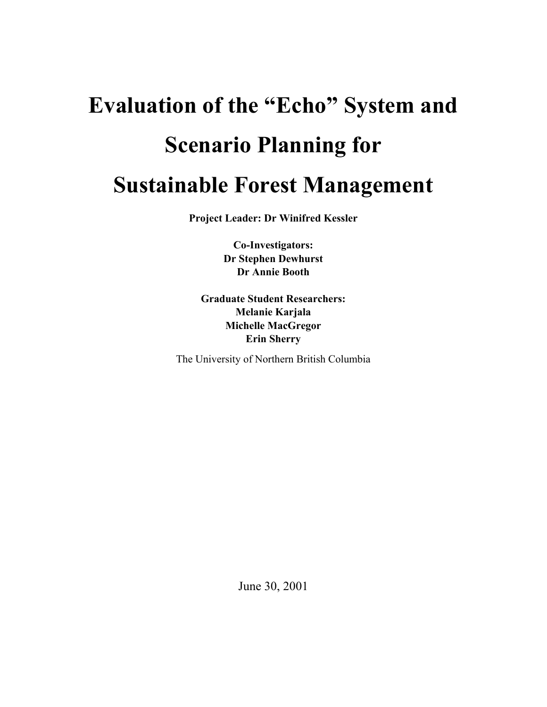# **Evaluation of the "Echo" System and Scenario Planning for Sustainable Forest Management**

**Project Leader: Dr Winifred Kessler** 

**Co-Investigators: Dr Stephen Dewhurst Dr Annie Booth** 

**Graduate Student Researchers: Melanie Karjala Michelle MacGregor Erin Sherry** 

The University of Northern British Columbia

June 30, 2001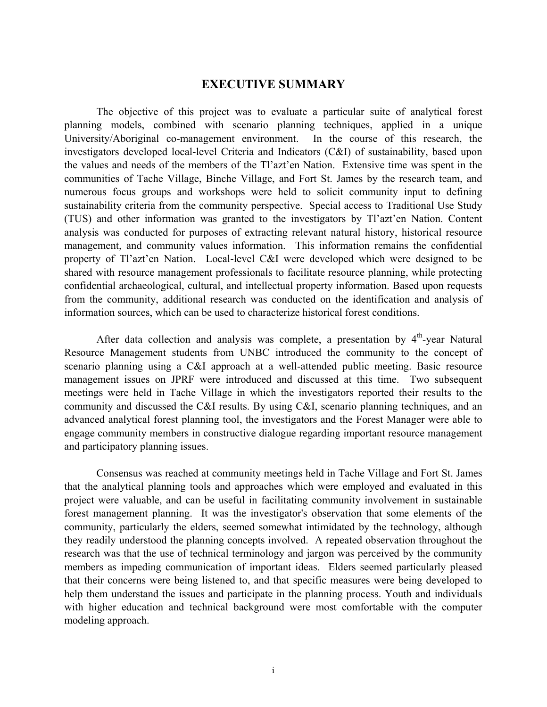# **EXECUTIVE SUMMARY**

The objective of this project was to evaluate a particular suite of analytical forest planning models, combined with scenario planning techniques, applied in a unique University/Aboriginal co-management environment. In the course of this research, the investigators developed local-level Criteria and Indicators (C&I) of sustainability, based upon the values and needs of the members of the Tl'azt'en Nation. Extensive time was spent in the communities of Tache Village, Binche Village, and Fort St. James by the research team, and numerous focus groups and workshops were held to solicit community input to defining sustainability criteria from the community perspective. Special access to Traditional Use Study (TUS) and other information was granted to the investigators by Tl'azt'en Nation. Content analysis was conducted for purposes of extracting relevant natural history, historical resource management, and community values information. This information remains the confidential property of Tl'azt'en Nation. Local-level C&I were developed which were designed to be shared with resource management professionals to facilitate resource planning, while protecting confidential archaeological, cultural, and intellectual property information. Based upon requests from the community, additional research was conducted on the identification and analysis of information sources, which can be used to characterize historical forest conditions.

After data collection and analysis was complete, a presentation by  $4<sup>th</sup>$ -year Natural Resource Management students from UNBC introduced the community to the concept of scenario planning using a C&I approach at a well-attended public meeting. Basic resource management issues on JPRF were introduced and discussed at this time. Two subsequent meetings were held in Tache Village in which the investigators reported their results to the community and discussed the C&I results. By using C&I, scenario planning techniques, and an advanced analytical forest planning tool, the investigators and the Forest Manager were able to engage community members in constructive dialogue regarding important resource management and participatory planning issues.

Consensus was reached at community meetings held in Tache Village and Fort St. James that the analytical planning tools and approaches which were employed and evaluated in this project were valuable, and can be useful in facilitating community involvement in sustainable forest management planning. It was the investigator's observation that some elements of the community, particularly the elders, seemed somewhat intimidated by the technology, although they readily understood the planning concepts involved. A repeated observation throughout the research was that the use of technical terminology and jargon was perceived by the community members as impeding communication of important ideas. Elders seemed particularly pleased that their concerns were being listened to, and that specific measures were being developed to help them understand the issues and participate in the planning process. Youth and individuals with higher education and technical background were most comfortable with the computer modeling approach.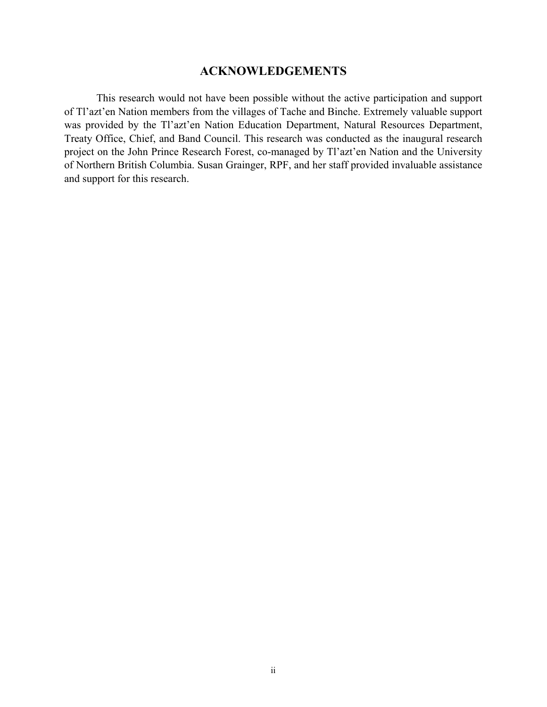# **ACKNOWLEDGEMENTS**

This research would not have been possible without the active participation and support of Tl'azt'en Nation members from the villages of Tache and Binche. Extremely valuable support was provided by the Tl'azt'en Nation Education Department, Natural Resources Department, Treaty Office, Chief, and Band Council. This research was conducted as the inaugural research project on the John Prince Research Forest, co-managed by Tl'azt'en Nation and the University of Northern British Columbia. Susan Grainger, RPF, and her staff provided invaluable assistance and support for this research.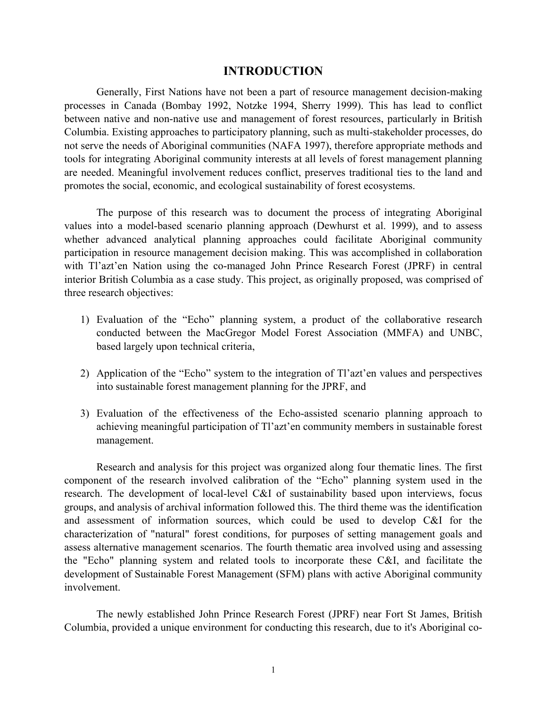# **INTRODUCTION**

Generally, First Nations have not been a part of resource management decision-making processes in Canada (Bombay 1992, Notzke 1994, Sherry 1999). This has lead to conflict between native and non-native use and management of forest resources, particularly in British Columbia. Existing approaches to participatory planning, such as multi-stakeholder processes, do not serve the needs of Aboriginal communities (NAFA 1997), therefore appropriate methods and tools for integrating Aboriginal community interests at all levels of forest management planning are needed. Meaningful involvement reduces conflict, preserves traditional ties to the land and promotes the social, economic, and ecological sustainability of forest ecosystems.

The purpose of this research was to document the process of integrating Aboriginal values into a model-based scenario planning approach (Dewhurst et al. 1999), and to assess whether advanced analytical planning approaches could facilitate Aboriginal community participation in resource management decision making. This was accomplished in collaboration with Tl'azt'en Nation using the co-managed John Prince Research Forest (JPRF) in central interior British Columbia as a case study. This project, as originally proposed, was comprised of three research objectives:

- 1) Evaluation of the "Echo" planning system, a product of the collaborative research conducted between the MacGregor Model Forest Association (MMFA) and UNBC, based largely upon technical criteria,
- 2) Application of the "Echo" system to the integration of Tl'azt'en values and perspectives into sustainable forest management planning for the JPRF, and
- 3) Evaluation of the effectiveness of the Echo-assisted scenario planning approach to achieving meaningful participation of Tl'azt'en community members in sustainable forest management.

Research and analysis for this project was organized along four thematic lines. The first component of the research involved calibration of the "Echo" planning system used in the research. The development of local-level C&I of sustainability based upon interviews, focus groups, and analysis of archival information followed this. The third theme was the identification and assessment of information sources, which could be used to develop C&I for the characterization of "natural" forest conditions, for purposes of setting management goals and assess alternative management scenarios. The fourth thematic area involved using and assessing the "Echo" planning system and related tools to incorporate these C&I, and facilitate the development of Sustainable Forest Management (SFM) plans with active Aboriginal community involvement.

The newly established John Prince Research Forest (JPRF) near Fort St James, British Columbia, provided a unique environment for conducting this research, due to it's Aboriginal co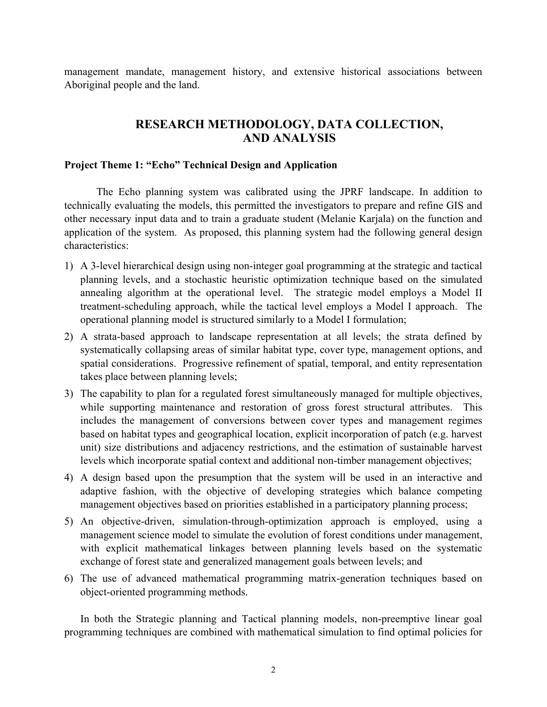management mandate, management history, and extensive historical associations between Aboriginal people and the land.

# **RESEARCH METHODOLOGY, DATA COLLECTION, AND ANALYSIS**

#### **Project Theme 1: "Echo" Technical Design and Application**

The Echo planning system was calibrated using the JPRF landscape. In addition to technically evaluating the models, this permitted the investigators to prepare and refine GIS and other necessary input data and to train a graduate student (Melanie Karjala) on the function and application of the system. As proposed, this planning system had the following general design characteristics:

- 1) A 3-level hierarchical design using non-integer goal programming at the strategic and tactical planning levels, and a stochastic heuristic optimization technique based on the simulated annealing algorithm at the operational level. The strategic model employs a Model II treatment-scheduling approach, while the tactical level employs a Model I approach. The operational planning model is structured similarly to a Model I formulation;
- 2) A strata-based approach to landscape representation at all levels; the strata defined by systematically collapsing areas of similar habitat type, cover type, management options, and spatial considerations. Progressive refinement of spatial, temporal, and entity representation takes place between planning levels;
- 3) The capability to plan for a regulated forest simultaneously managed for multiple objectives, while supporting maintenance and restoration of gross forest structural attributes. This includes the management of conversions between cover types and management regimes based on habitat types and geographical location, explicit incorporation of patch (e.g. harvest unit) size distributions and adjacency restrictions, and the estimation of sustainable harvest levels which incorporate spatial context and additional non-timber management objectives;
- 4) A design based upon the presumption that the system will be used in an interactive and adaptive fashion, with the objective of developing strategies which balance competing management objectives based on priorities established in a participatory planning process;
- 5) An objective-driven, simulation-through-optimization approach is employed, using a management science model to simulate the evolution of forest conditions under management, with explicit mathematical linkages between planning levels based on the systematic exchange of forest state and generalized management goals between levels; and
- 6) The use of advanced mathematical programming matrix-generation techniques based on object-oriented programming methods.

In both the Strategic planning and Tactical planning models, non-preemptive linear goal programming techniques are combined with mathematical simulation to find optimal policies for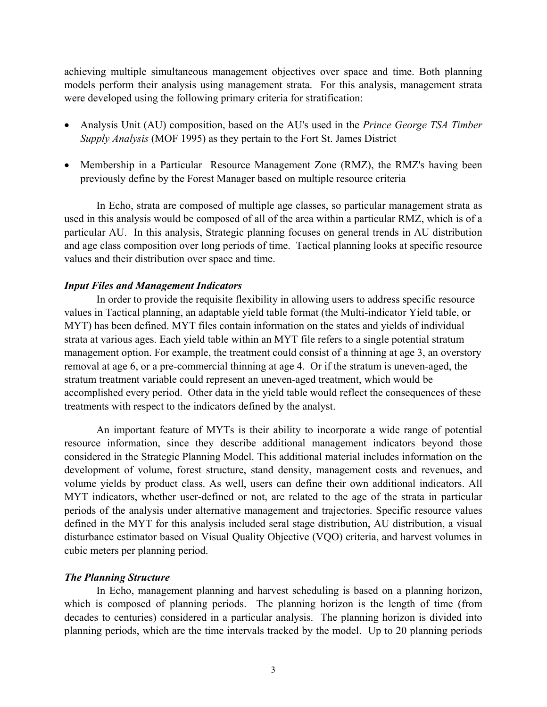achieving multiple simultaneous management objectives over space and time. Both planning models perform their analysis using management strata. For this analysis, management strata were developed using the following primary criteria for stratification:

- Analysis Unit (AU) composition, based on the AU's used in the *Prince George TSA Timber Supply Analysis* (MOF 1995) as they pertain to the Fort St. James District
- Membership in a Particular Resource Management Zone (RMZ), the RMZ's having been previously define by the Forest Manager based on multiple resource criteria

In Echo, strata are composed of multiple age classes, so particular management strata as used in this analysis would be composed of all of the area within a particular RMZ, which is of a particular AU. In this analysis, Strategic planning focuses on general trends in AU distribution and age class composition over long periods of time. Tactical planning looks at specific resource values and their distribution over space and time.

#### *Input Files and Management Indicators*

In order to provide the requisite flexibility in allowing users to address specific resource values in Tactical planning, an adaptable yield table format (the Multi-indicator Yield table, or MYT) has been defined. MYT files contain information on the states and yields of individual strata at various ages. Each yield table within an MYT file refers to a single potential stratum management option. For example, the treatment could consist of a thinning at age 3, an overstory removal at age 6, or a pre-commercial thinning at age 4. Or if the stratum is uneven-aged, the stratum treatment variable could represent an uneven-aged treatment, which would be accomplished every period. Other data in the yield table would reflect the consequences of these treatments with respect to the indicators defined by the analyst.

An important feature of MYTs is their ability to incorporate a wide range of potential resource information, since they describe additional management indicators beyond those considered in the Strategic Planning Model. This additional material includes information on the development of volume, forest structure, stand density, management costs and revenues, and volume yields by product class. As well, users can define their own additional indicators. All MYT indicators, whether user-defined or not, are related to the age of the strata in particular periods of the analysis under alternative management and trajectories. Specific resource values defined in the MYT for this analysis included seral stage distribution, AU distribution, a visual disturbance estimator based on Visual Quality Objective (VQO) criteria, and harvest volumes in cubic meters per planning period.

#### *The Planning Structure*

In Echo, management planning and harvest scheduling is based on a planning horizon, which is composed of planning periods. The planning horizon is the length of time (from decades to centuries) considered in a particular analysis. The planning horizon is divided into planning periods, which are the time intervals tracked by the model. Up to 20 planning periods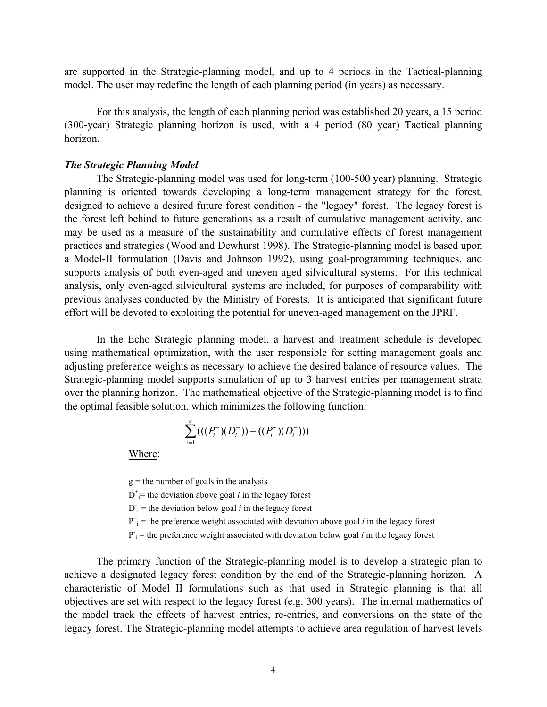are supported in the Strategic-planning model, and up to 4 periods in the Tactical-planning model. The user may redefine the length of each planning period (in years) as necessary.

For this analysis, the length of each planning period was established 20 years, a 15 period (300-year) Strategic planning horizon is used, with a 4 period (80 year) Tactical planning horizon.

#### *The Strategic Planning Model*

The Strategic-planning model was used for long-term (100-500 year) planning. Strategic planning is oriented towards developing a long-term management strategy for the forest, designed to achieve a desired future forest condition - the "legacy" forest. The legacy forest is the forest left behind to future generations as a result of cumulative management activity, and may be used as a measure of the sustainability and cumulative effects of forest management practices and strategies (Wood and Dewhurst 1998). The Strategic-planning model is based upon a Model-II formulation (Davis and Johnson 1992), using goal-programming techniques, and supports analysis of both even-aged and uneven aged silvicultural systems. For this technical analysis, only even-aged silvicultural systems are included, for purposes of comparability with previous analyses conducted by the Ministry of Forests. It is anticipated that significant future effort will be devoted to exploiting the potential for uneven-aged management on the JPRF.

In the Echo Strategic planning model, a harvest and treatment schedule is developed using mathematical optimization, with the user responsible for setting management goals and adjusting preference weights as necessary to achieve the desired balance of resource values. The Strategic-planning model supports simulation of up to 3 harvest entries per management strata over the planning horizon. The mathematical objective of the Strategic-planning model is to find the optimal feasible solution, which minimizes the following function:

$$
\sum_{i=1}^{g}(((P_i^+)(D_i^+)) + ((P_i^-)(D_i^-)))
$$

Where:

 $g =$  the number of goals in the analysis

 $D^+=$  the deviation above goal *i* in the legacy forest

 $D_i$ <sup>-</sup> the deviation below goal *i* in the legacy forest

 $P^+$ <sub>i</sub> = the preference weight associated with deviation above goal *i* in the legacy forest

 $P_i$  = the preference weight associated with deviation below goal *i* in the legacy forest

The primary function of the Strategic-planning model is to develop a strategic plan to achieve a designated legacy forest condition by the end of the Strategic-planning horizon. A characteristic of Model II formulations such as that used in Strategic planning is that all objectives are set with respect to the legacy forest (e.g. 300 years). The internal mathematics of the model track the effects of harvest entries, re-entries, and conversions on the state of the legacy forest. The Strategic-planning model attempts to achieve area regulation of harvest levels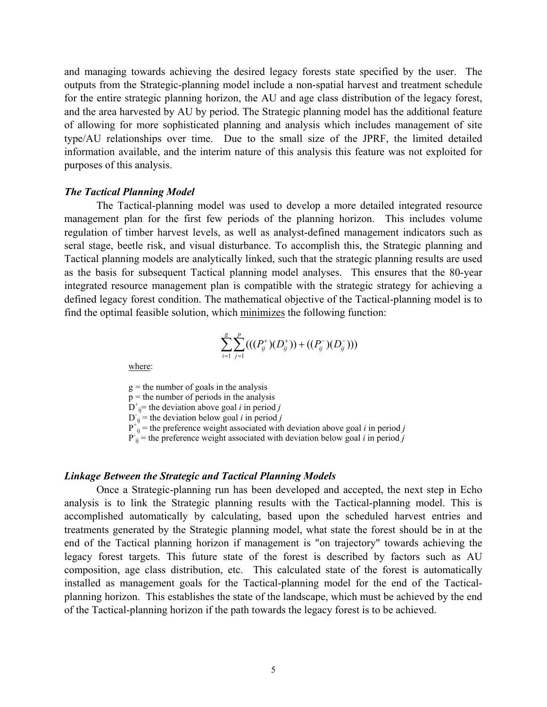and managing towards achieving the desired legacy forests state specified by the user. The outputs from the Strategic-planning model include a non-spatial harvest and treatment schedule for the entire strategic planning horizon, the AU and age class distribution of the legacy forest, and the area harvested by AU by period. The Strategic planning model has the additional feature of allowing for more sophisticated planning and analysis which includes management of site type/AU relationships over time. Due to the small size of the JPRF, the limited detailed information available, and the interim nature of this analysis this feature was not exploited for purposes of this analysis.

#### *The Tactical Planning Model*

The Tactical-planning model was used to develop a more detailed integrated resource management plan for the first few periods of the planning horizon. This includes volume regulation of timber harvest levels, as well as analyst-defined management indicators such as seral stage, beetle risk, and visual disturbance. To accomplish this, the Strategic planning and Tactical planning models are analytically linked, such that the strategic planning results are used as the basis for subsequent Tactical planning model analyses. This ensures that the 80-year integrated resource management plan is compatible with the strategic strategy for achieving a defined legacy forest condition. The mathematical objective of the Tactical-planning model is to find the optimal feasible solution, which minimizes the following function:

$$
\sum_{i=1}^{g} \sum_{j=1}^{p} (((P_{ij}^{+})(D_{ij}^{+}))+((P_{ij}^{-})(D_{ij}^{-})))
$$

where:

 $g =$  the number of goals in the analysis

 $p =$  the number of periods in the analysis

 $D^+_{ij}$  the deviation above goal *i* in period *j* 

 $D_{ij}$  = the deviation below goal *i* in period *j* 

 $P^+_{ij}$  = the preference weight associated with deviation above goal *i* in period *j* 

 $P_{ij}$  = the preference weight associated with deviation below goal *i* in period *j* 

#### *Linkage Between the Strategic and Tactical Planning Models*

Once a Strategic-planning run has been developed and accepted, the next step in Echo analysis is to link the Strategic planning results with the Tactical-planning model. This is accomplished automatically by calculating, based upon the scheduled harvest entries and treatments generated by the Strategic planning model, what state the forest should be in at the end of the Tactical planning horizon if management is "on trajectory" towards achieving the legacy forest targets. This future state of the forest is described by factors such as AU composition, age class distribution, etc. This calculated state of the forest is automatically installed as management goals for the Tactical-planning model for the end of the Tacticalplanning horizon. This establishes the state of the landscape, which must be achieved by the end of the Tactical-planning horizon if the path towards the legacy forest is to be achieved.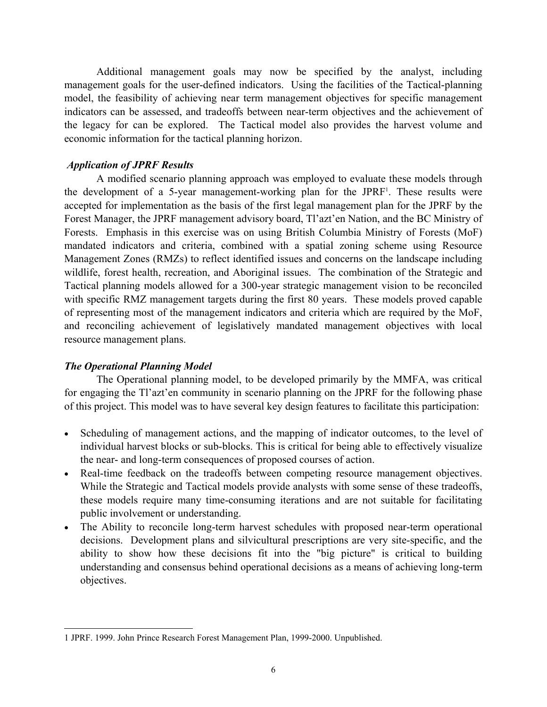Additional management goals may now be specified by the analyst, including management goals for the user-defined indicators. Using the facilities of the Tactical-planning model, the feasibility of achieving near term management objectives for specific management indicators can be assessed, and tradeoffs between near-term objectives and the achievement of the legacy for can be explored. The Tactical model also provides the harvest volume and economic information for the tactical planning horizon.

# *Application of JPRF Results*

A modified scenario planning approach was employed to evaluate these models through the development of a 5-year management-working plan for the JPRF<sup>1</sup>[.](#page-10-0) These results were accepted for implementation as the basis of the first legal management plan for the JPRF by the Forest Manager, the JPRF management advisory board, Tl'azt'en Nation, and the BC Ministry of Forests. Emphasis in this exercise was on using British Columbia Ministry of Forests (MoF) mandated indicators and criteria, combined with a spatial zoning scheme using Resource Management Zones (RMZs) to reflect identified issues and concerns on the landscape including wildlife, forest health, recreation, and Aboriginal issues. The combination of the Strategic and Tactical planning models allowed for a 300-year strategic management vision to be reconciled with specific RMZ management targets during the first 80 years. These models proved capable of representing most of the management indicators and criteria which are required by the MoF, and reconciling achievement of legislatively mandated management objectives with local resource management plans.

# *The Operational Planning Model*

The Operational planning model, to be developed primarily by the MMFA, was critical for engaging the Tl'azt'en community in scenario planning on the JPRF for the following phase of this project. This model was to have several key design features to facilitate this participation:

- Scheduling of management actions, and the mapping of indicator outcomes, to the level of individual harvest blocks or sub-blocks. This is critical for being able to effectively visualize the near- and long-term consequences of proposed courses of action.
- Real-time feedback on the tradeoffs between competing resource management objectives. While the Strategic and Tactical models provide analysts with some sense of these tradeoffs, these models require many time-consuming iterations and are not suitable for facilitating public involvement or understanding.
- The Ability to reconcile long-term harvest schedules with proposed near-term operational decisions. Development plans and silvicultural prescriptions are very site-specific, and the ability to show how these decisions fit into the "big picture" is critical to building understanding and consensus behind operational decisions as a means of achieving long-term objectives.

<span id="page-10-0"></span> $\overline{a}$ 1 JPRF. 1999. John Prince Research Forest Management Plan, 1999-2000. Unpublished.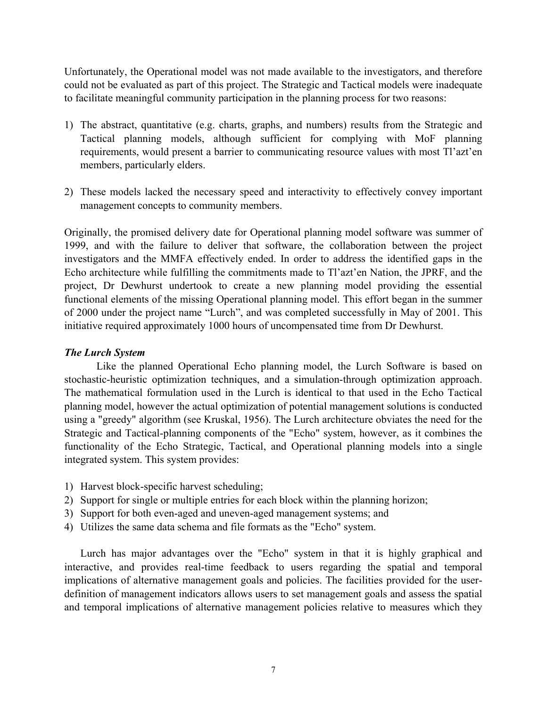Unfortunately, the Operational model was not made available to the investigators, and therefore could not be evaluated as part of this project. The Strategic and Tactical models were inadequate to facilitate meaningful community participation in the planning process for two reasons:

- 1) The abstract, quantitative (e.g. charts, graphs, and numbers) results from the Strategic and Tactical planning models, although sufficient for complying with MoF planning requirements, would present a barrier to communicating resource values with most Tl'azt'en members, particularly elders.
- 2) These models lacked the necessary speed and interactivity to effectively convey important management concepts to community members.

Originally, the promised delivery date for Operational planning model software was summer of 1999, and with the failure to deliver that software, the collaboration between the project investigators and the MMFA effectively ended. In order to address the identified gaps in the Echo architecture while fulfilling the commitments made to Tl'azt'en Nation, the JPRF, and the project, Dr Dewhurst undertook to create a new planning model providing the essential functional elements of the missing Operational planning model. This effort began in the summer of 2000 under the project name "Lurch", and was completed successfully in May of 2001. This initiative required approximately 1000 hours of uncompensated time from Dr Dewhurst.

# *The Lurch System*

Like the planned Operational Echo planning model, the Lurch Software is based on stochastic-heuristic optimization techniques, and a simulation-through optimization approach. The mathematical formulation used in the Lurch is identical to that used in the Echo Tactical planning model, however the actual optimization of potential management solutions is conducted using a "greedy" algorithm (see Kruskal, 1956). The Lurch architecture obviates the need for the Strategic and Tactical-planning components of the "Echo" system, however, as it combines the functionality of the Echo Strategic, Tactical, and Operational planning models into a single integrated system. This system provides:

- 1) Harvest block-specific harvest scheduling;
- 2) Support for single or multiple entries for each block within the planning horizon;
- 3) Support for both even-aged and uneven-aged management systems; and
- 4) Utilizes the same data schema and file formats as the "Echo" system.

Lurch has major advantages over the "Echo" system in that it is highly graphical and interactive, and provides real-time feedback to users regarding the spatial and temporal implications of alternative management goals and policies. The facilities provided for the userdefinition of management indicators allows users to set management goals and assess the spatial and temporal implications of alternative management policies relative to measures which they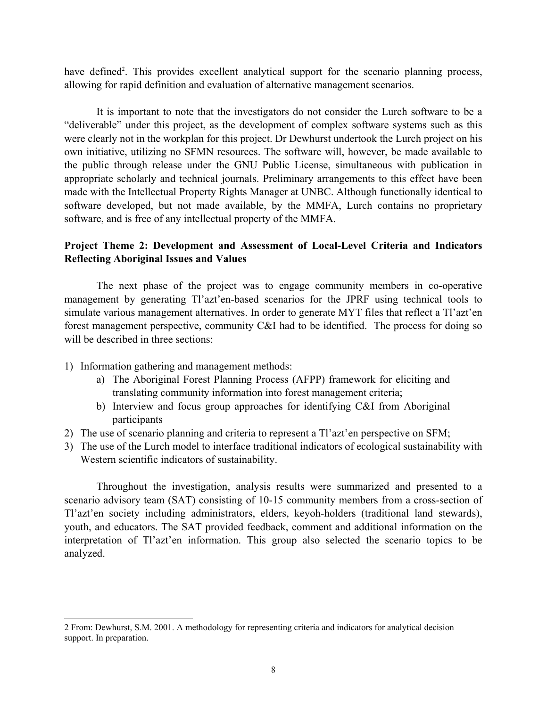have defined<sup>[2](#page-12-0)</sup>. This provides excellent analytical support for the scenario planning process, allowing for rapid definition and evaluation of alternative management scenarios.

It is important to note that the investigators do not consider the Lurch software to be a "deliverable" under this project, as the development of complex software systems such as this were clearly not in the workplan for this project. Dr Dewhurst undertook the Lurch project on his own initiative, utilizing no SFMN resources. The software will, however, be made available to the public through release under the GNU Public License, simultaneous with publication in appropriate scholarly and technical journals. Preliminary arrangements to this effect have been made with the Intellectual Property Rights Manager at UNBC. Although functionally identical to software developed, but not made available, by the MMFA, Lurch contains no proprietary software, and is free of any intellectual property of the MMFA.

# **Project Theme 2: Development and Assessment of Local-Level Criteria and Indicators Reflecting Aboriginal Issues and Values**

The next phase of the project was to engage community members in co-operative management by generating Tl'azt'en-based scenarios for the JPRF using technical tools to simulate various management alternatives. In order to generate MYT files that reflect a Tl'azt'en forest management perspective, community C&I had to be identified. The process for doing so will be described in three sections:

1) Information gathering and management methods:

 $\overline{a}$ 

- a) The Aboriginal Forest Planning Process (AFPP) framework for eliciting and translating community information into forest management criteria;
- b) Interview and focus group approaches for identifying C&I from Aboriginal participants
- 2) The use of scenario planning and criteria to represent a Tl'azt'en perspective on SFM;
- 3) The use of the Lurch model to interface traditional indicators of ecological sustainability with Western scientific indicators of sustainability.

Throughout the investigation, analysis results were summarized and presented to a scenario advisory team (SAT) consisting of 10-15 community members from a cross-section of Tl'azt'en society including administrators, elders, keyoh-holders (traditional land stewards), youth, and educators. The SAT provided feedback, comment and additional information on the interpretation of Tl'azt'en information. This group also selected the scenario topics to be analyzed.

<span id="page-12-0"></span><sup>2</sup> From: Dewhurst, S.M. 2001. A methodology for representing criteria and indicators for analytical decision support. In preparation.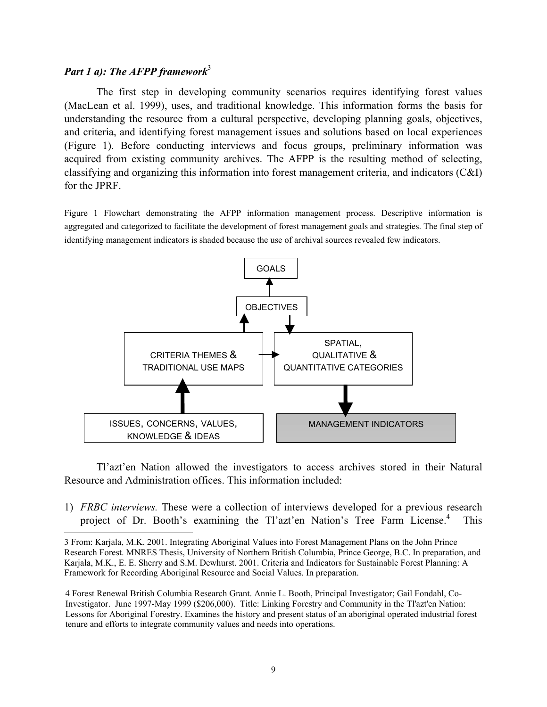#### *Part 1 a): The AFPP framework*<sup>[3](#page-13-0)</sup>

l

The first step in developing community scenarios requires identifying forest values (MacLean et al. 1999), uses, and traditional knowledge. This information forms the basis for understanding the resource from a cultural perspective, developing planning goals, objectives, and criteria, and identifying forest management issues and solutions based on local experiences (Figure 1). Before conducting interviews and focus groups, preliminary information was acquired from existing community archives. The AFPP is the resulting method of selecting, classifying and organizing this information into forest management criteria, and indicators (C&I) for the JPRF.

Figure 1 Flowchart demonstrating the AFPP information management process. Descriptive information is aggregated and categorized to facilitate the development of forest management goals and strategies. The final step of identifying management indicators is shaded because the use of archival sources revealed few indicators.



Tl'azt'en Nation allowed the investigators to access archives stored in their Natural Resource and Administration offices. This information included:

1) *FRBC interviews.* These were a collection of interviews developed for a previous research project of Dr. Booth's examining the Tl'azt'en Nation's Tree Farm License.<sup>[4](#page-13-1)</sup> This

<span id="page-13-0"></span><sup>3</sup> From: Karjala, M.K. 2001. Integrating Aboriginal Values into Forest Management Plans on the John Prince Research Forest. MNRES Thesis, University of Northern British Columbia, Prince George, B.C. In preparation, and Karjala, M.K., E. E. Sherry and S.M. Dewhurst. 2001. Criteria and Indicators for Sustainable Forest Planning: A Framework for Recording Aboriginal Resource and Social Values. In preparation.

<span id="page-13-1"></span><sup>4</sup> Forest Renewal British Columbia Research Grant. Annie L. Booth, Principal Investigator; Gail Fondahl, Co-Investigator. June 1997-May 1999 (\$206,000). Title: Linking Forestry and Community in the Tl'azt'en Nation: Lessons for Aboriginal Forestry. Examines the history and present status of an aboriginal operated industrial forest tenure and efforts to integrate community values and needs into operations.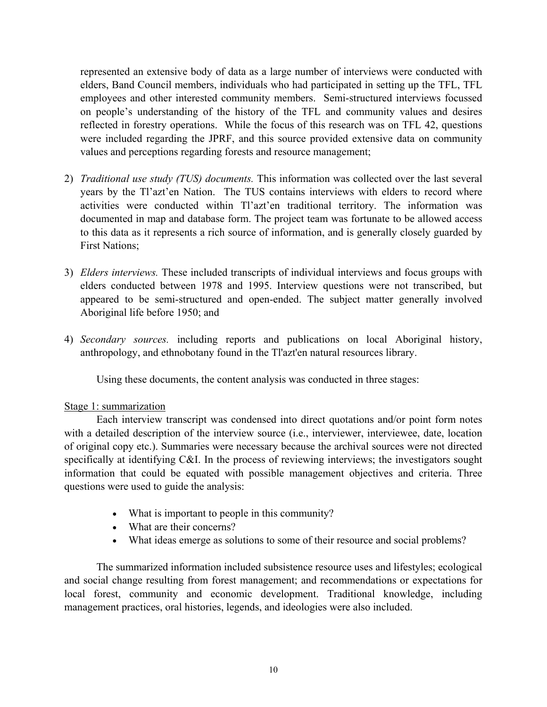represented an extensive body of data as a large number of interviews were conducted with elders, Band Council members, individuals who had participated in setting up the TFL, TFL employees and other interested community members. Semi-structured interviews focussed on people's understanding of the history of the TFL and community values and desires reflected in forestry operations. While the focus of this research was on TFL 42, questions were included regarding the JPRF, and this source provided extensive data on community values and perceptions regarding forests and resource management;

- 2) *Traditional use study (TUS) documents.* This information was collected over the last several years by the Tl'azt'en Nation. The TUS contains interviews with elders to record where activities were conducted within Tl'azt'en traditional territory. The information was documented in map and database form. The project team was fortunate to be allowed access to this data as it represents a rich source of information, and is generally closely guarded by First Nations;
- 3) *Elders interviews.* These included transcripts of individual interviews and focus groups with elders conducted between 1978 and 1995. Interview questions were not transcribed, but appeared to be semi-structured and open-ended. The subject matter generally involved Aboriginal life before 1950; and
- 4) *Secondary sources.* including reports and publications on local Aboriginal history, anthropology, and ethnobotany found in the Tl'azt'en natural resources library.

Using these documents, the content analysis was conducted in three stages:

# Stage 1: summarization

Each interview transcript was condensed into direct quotations and/or point form notes with a detailed description of the interview source (i.e., interviewer, interviewee, date, location of original copy etc.). Summaries were necessary because the archival sources were not directed specifically at identifying C&I. In the process of reviewing interviews; the investigators sought information that could be equated with possible management objectives and criteria. Three questions were used to guide the analysis:

- What is important to people in this community?
- What are their concerns?
- What ideas emerge as solutions to some of their resource and social problems?

The summarized information included subsistence resource uses and lifestyles; ecological and social change resulting from forest management; and recommendations or expectations for local forest, community and economic development. Traditional knowledge, including management practices, oral histories, legends, and ideologies were also included.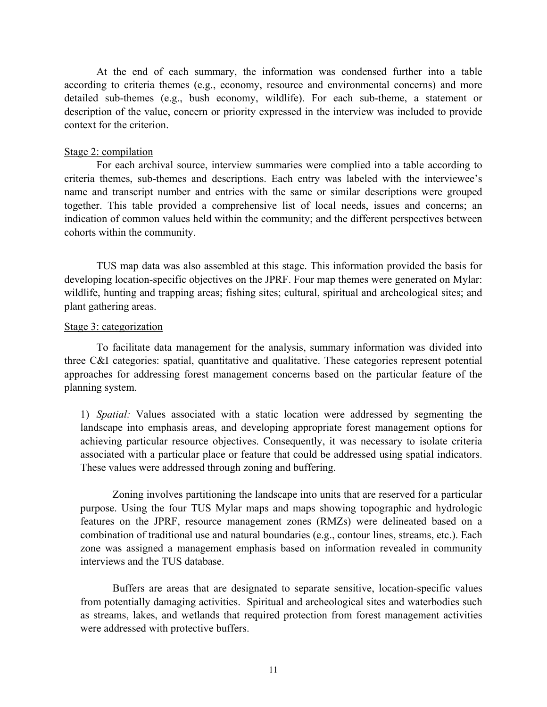At the end of each summary, the information was condensed further into a table according to criteria themes (e.g., economy, resource and environmental concerns) and more detailed sub-themes (e.g., bush economy, wildlife). For each sub-theme, a statement or description of the value, concern or priority expressed in the interview was included to provide context for the criterion.

#### Stage 2: compilation

For each archival source, interview summaries were complied into a table according to criteria themes, sub-themes and descriptions. Each entry was labeled with the interviewee's name and transcript number and entries with the same or similar descriptions were grouped together. This table provided a comprehensive list of local needs, issues and concerns; an indication of common values held within the community; and the different perspectives between cohorts within the community.

TUS map data was also assembled at this stage. This information provided the basis for developing location-specific objectives on the JPRF. Four map themes were generated on Mylar: wildlife, hunting and trapping areas; fishing sites; cultural, spiritual and archeological sites; and plant gathering areas.

#### Stage 3: categorization

To facilitate data management for the analysis, summary information was divided into three C&I categories: spatial, quantitative and qualitative. These categories represent potential approaches for addressing forest management concerns based on the particular feature of the planning system.

1) *Spatial:* Values associated with a static location were addressed by segmenting the landscape into emphasis areas, and developing appropriate forest management options for achieving particular resource objectives. Consequently, it was necessary to isolate criteria associated with a particular place or feature that could be addressed using spatial indicators. These values were addressed through zoning and buffering.

Zoning involves partitioning the landscape into units that are reserved for a particular purpose. Using the four TUS Mylar maps and maps showing topographic and hydrologic features on the JPRF, resource management zones (RMZs) were delineated based on a combination of traditional use and natural boundaries (e.g., contour lines, streams, etc.). Each zone was assigned a management emphasis based on information revealed in community interviews and the TUS database.

Buffers are areas that are designated to separate sensitive, location-specific values from potentially damaging activities. Spiritual and archeological sites and waterbodies such as streams, lakes, and wetlands that required protection from forest management activities were addressed with protective buffers.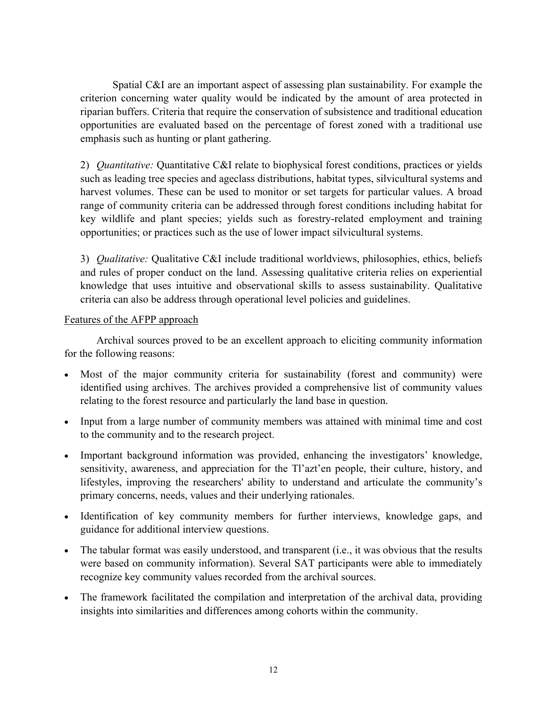Spatial C&I are an important aspect of assessing plan sustainability. For example the criterion concerning water quality would be indicated by the amount of area protected in riparian buffers. Criteria that require the conservation of subsistence and traditional education opportunities are evaluated based on the percentage of forest zoned with a traditional use emphasis such as hunting or plant gathering.

2) *Quantitative:* Quantitative C&I relate to biophysical forest conditions, practices or yields such as leading tree species and ageclass distributions, habitat types, silvicultural systems and harvest volumes. These can be used to monitor or set targets for particular values. A broad range of community criteria can be addressed through forest conditions including habitat for key wildlife and plant species; yields such as forestry-related employment and training opportunities; or practices such as the use of lower impact silvicultural systems.

3) *Qualitative:* Qualitative C&I include traditional worldviews, philosophies, ethics, beliefs and rules of proper conduct on the land. Assessing qualitative criteria relies on experiential knowledge that uses intuitive and observational skills to assess sustainability. Qualitative criteria can also be address through operational level policies and guidelines.

# Features of the AFPP approach

Archival sources proved to be an excellent approach to eliciting community information for the following reasons:

- Most of the major community criteria for sustainability (forest and community) were identified using archives. The archives provided a comprehensive list of community values relating to the forest resource and particularly the land base in question.
- Input from a large number of community members was attained with minimal time and cost to the community and to the research project.
- Important background information was provided, enhancing the investigators' knowledge, sensitivity, awareness, and appreciation for the Tl'azt'en people, their culture, history, and lifestyles, improving the researchers' ability to understand and articulate the community's primary concerns, needs, values and their underlying rationales.
- Identification of key community members for further interviews, knowledge gaps, and guidance for additional interview questions.
- The tabular format was easily understood, and transparent (i.e., it was obvious that the results were based on community information). Several SAT participants were able to immediately recognize key community values recorded from the archival sources.
- The framework facilitated the compilation and interpretation of the archival data, providing insights into similarities and differences among cohorts within the community.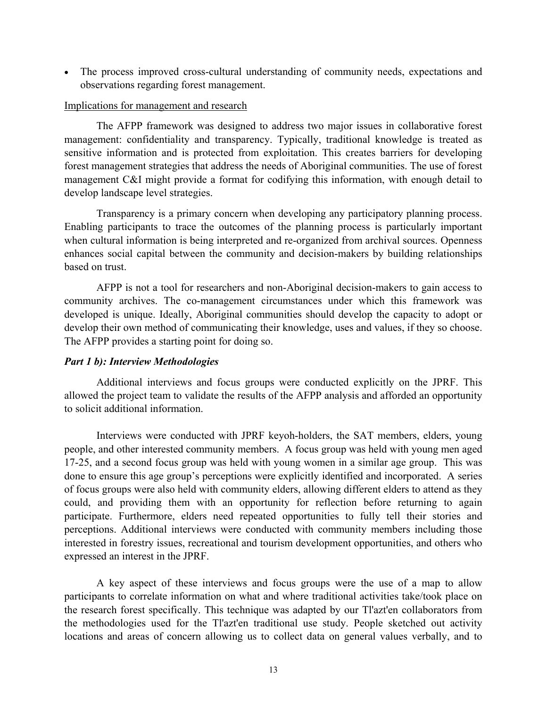• The process improved cross-cultural understanding of community needs, expectations and observations regarding forest management.

# Implications for management and research

The AFPP framework was designed to address two major issues in collaborative forest management: confidentiality and transparency. Typically, traditional knowledge is treated as sensitive information and is protected from exploitation. This creates barriers for developing forest management strategies that address the needs of Aboriginal communities. The use of forest management C&I might provide a format for codifying this information, with enough detail to develop landscape level strategies.

Transparency is a primary concern when developing any participatory planning process. Enabling participants to trace the outcomes of the planning process is particularly important when cultural information is being interpreted and re-organized from archival sources. Openness enhances social capital between the community and decision-makers by building relationships based on trust.

AFPP is not a tool for researchers and non-Aboriginal decision-makers to gain access to community archives. The co-management circumstances under which this framework was developed is unique. Ideally, Aboriginal communities should develop the capacity to adopt or develop their own method of communicating their knowledge, uses and values, if they so choose. The AFPP provides a starting point for doing so.

# *Part 1 b): Interview Methodologies*

Additional interviews and focus groups were conducted explicitly on the JPRF. This allowed the project team to validate the results of the AFPP analysis and afforded an opportunity to solicit additional information.

Interviews were conducted with JPRF keyoh-holders, the SAT members, elders, young people, and other interested community members. A focus group was held with young men aged 17-25, and a second focus group was held with young women in a similar age group. This was done to ensure this age group's perceptions were explicitly identified and incorporated. A series of focus groups were also held with community elders, allowing different elders to attend as they could, and providing them with an opportunity for reflection before returning to again participate. Furthermore, elders need repeated opportunities to fully tell their stories and perceptions. Additional interviews were conducted with community members including those interested in forestry issues, recreational and tourism development opportunities, and others who expressed an interest in the JPRF.

A key aspect of these interviews and focus groups were the use of a map to allow participants to correlate information on what and where traditional activities take/took place on the research forest specifically. This technique was adapted by our Tl'azt'en collaborators from the methodologies used for the Tl'azt'en traditional use study. People sketched out activity locations and areas of concern allowing us to collect data on general values verbally, and to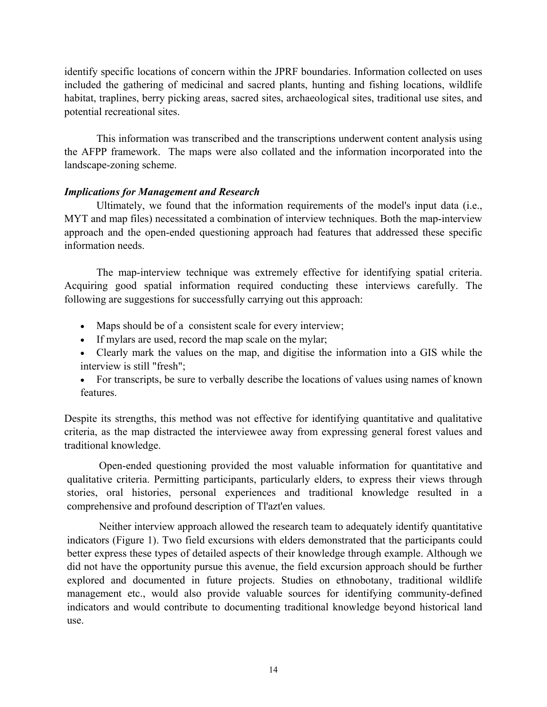identify specific locations of concern within the JPRF boundaries. Information collected on uses included the gathering of medicinal and sacred plants, hunting and fishing locations, wildlife habitat, traplines, berry picking areas, sacred sites, archaeological sites, traditional use sites, and potential recreational sites.

This information was transcribed and the transcriptions underwent content analysis using the AFPP framework. The maps were also collated and the information incorporated into the landscape-zoning scheme.

# *Implications for Management and Research*

Ultimately, we found that the information requirements of the model's input data (i.e., MYT and map files) necessitated a combination of interview techniques. Both the map-interview approach and the open-ended questioning approach had features that addressed these specific information needs.

The map-interview technique was extremely effective for identifying spatial criteria. Acquiring good spatial information required conducting these interviews carefully. The following are suggestions for successfully carrying out this approach:

- Maps should be of a consistent scale for every interview;
- If mylars are used, record the map scale on the mylar;
- Clearly mark the values on the map, and digitise the information into a GIS while the interview is still "fresh";
- For transcripts, be sure to verbally describe the locations of values using names of known features.

Despite its strengths, this method was not effective for identifying quantitative and qualitative criteria, as the map distracted the interviewee away from expressing general forest values and traditional knowledge.

Open-ended questioning provided the most valuable information for quantitative and qualitative criteria. Permitting participants, particularly elders, to express their views through stories, oral histories, personal experiences and traditional knowledge resulted in a comprehensive and profound description of Tl'azt'en values.

Neither interview approach allowed the research team to adequately identify quantitative indicators (Figure 1). Two field excursions with elders demonstrated that the participants could better express these types of detailed aspects of their knowledge through example. Although we did not have the opportunity pursue this avenue, the field excursion approach should be further explored and documented in future projects. Studies on ethnobotany, traditional wildlife management etc., would also provide valuable sources for identifying community-defined indicators and would contribute to documenting traditional knowledge beyond historical land use.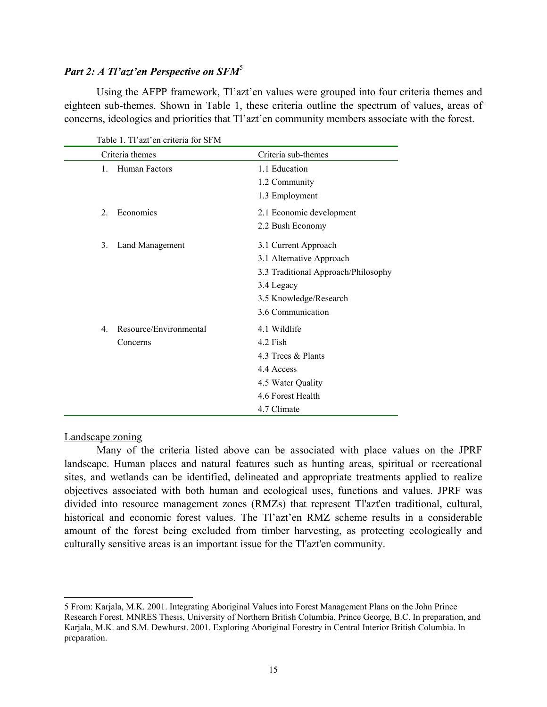# *Part 2: A Tl'azt'en Perspective on SFM*[5](#page-19-0)

Using the AFPP framework, Tl'azt'en values were grouped into four criteria themes and eighteen sub-themes. Shown in Table 1, these criteria outline the spectrum of values, areas of concerns, ideologies and priorities that Tl'azt'en community members associate with the forest.

| Criteria themes             | Criteria sub-themes                 |
|-----------------------------|-------------------------------------|
| Human Factors<br>$1_{-}$    | 1.1 Education                       |
|                             | 1.2 Community                       |
|                             | 1.3 Employment                      |
| Economics<br>$\overline{2}$ | 2.1 Economic development            |
|                             | 2.2 Bush Economy                    |
| 3.<br>Land Management       | 3.1 Current Approach                |
|                             | 3.1 Alternative Approach            |
|                             | 3.3 Traditional Approach/Philosophy |
|                             | 3.4 Legacy                          |
|                             | 3.5 Knowledge/Research              |
|                             | 3.6 Communication                   |
| Resource/Environmental<br>4 | 4.1 Wildlife                        |
| Concerns                    | 4.2 Fish                            |
|                             | 4.3 Trees & Plants                  |
|                             | 4.4 Access                          |
|                             | 4.5 Water Quality                   |
|                             | 4.6 Forest Health                   |
|                             | 4.7 Climate                         |

Table 1. Tl'azt'en criteria for SFM

#### Landscape zoning

 $\overline{a}$ 

Many of the criteria listed above can be associated with place values on the JPRF landscape. Human places and natural features such as hunting areas, spiritual or recreational sites, and wetlands can be identified, delineated and appropriate treatments applied to realize objectives associated with both human and ecological uses, functions and values. JPRF was divided into resource management zones (RMZs) that represent Tl'azt'en traditional, cultural, historical and economic forest values. The Tl'azt'en RMZ scheme results in a considerable amount of the forest being excluded from timber harvesting, as protecting ecologically and culturally sensitive areas is an important issue for the Tl'azt'en community.

<span id="page-19-0"></span><sup>5</sup> From: Karjala, M.K. 2001. Integrating Aboriginal Values into Forest Management Plans on the John Prince Research Forest. MNRES Thesis, University of Northern British Columbia, Prince George, B.C. In preparation, and Karjala, M.K. and S.M. Dewhurst. 2001. Exploring Aboriginal Forestry in Central Interior British Columbia. In preparation.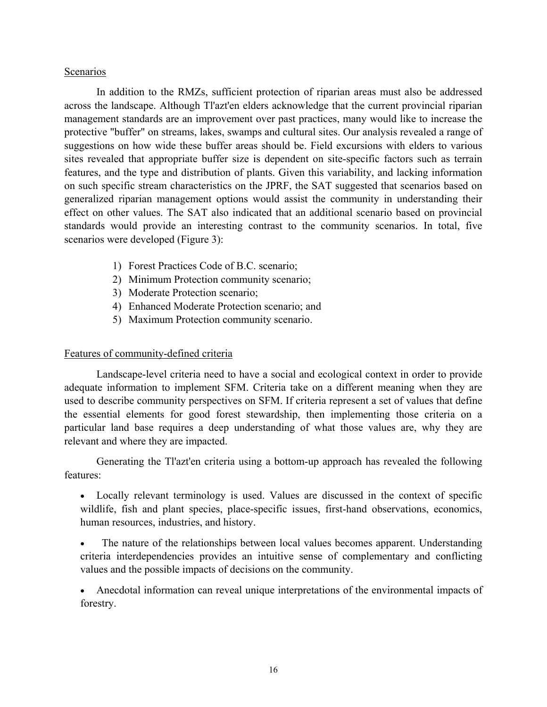# Scenarios

In addition to the RMZs, sufficient protection of riparian areas must also be addressed across the landscape. Although Tl'azt'en elders acknowledge that the current provincial riparian management standards are an improvement over past practices, many would like to increase the protective "buffer" on streams, lakes, swamps and cultural sites. Our analysis revealed a range of suggestions on how wide these buffer areas should be. Field excursions with elders to various sites revealed that appropriate buffer size is dependent on site-specific factors such as terrain features, and the type and distribution of plants. Given this variability, and lacking information on such specific stream characteristics on the JPRF, the SAT suggested that scenarios based on generalized riparian management options would assist the community in understanding their effect on other values. The SAT also indicated that an additional scenario based on provincial standards would provide an interesting contrast to the community scenarios. In total, five scenarios were developed (Figure 3):

- 1) Forest Practices Code of B.C. scenario;
- 2) Minimum Protection community scenario;
- 3) Moderate Protection scenario;
- 4) Enhanced Moderate Protection scenario; and
- 5) Maximum Protection community scenario.

# Features of community-defined criteria

Landscape-level criteria need to have a social and ecological context in order to provide adequate information to implement SFM. Criteria take on a different meaning when they are used to describe community perspectives on SFM. If criteria represent a set of values that define the essential elements for good forest stewardship, then implementing those criteria on a particular land base requires a deep understanding of what those values are, why they are relevant and where they are impacted.

Generating the Tl'azt'en criteria using a bottom-up approach has revealed the following features:

- Locally relevant terminology is used. Values are discussed in the context of specific wildlife, fish and plant species, place-specific issues, first-hand observations, economics, human resources, industries, and history.
- The nature of the relationships between local values becomes apparent. Understanding criteria interdependencies provides an intuitive sense of complementary and conflicting values and the possible impacts of decisions on the community.

• Anecdotal information can reveal unique interpretations of the environmental impacts of forestry.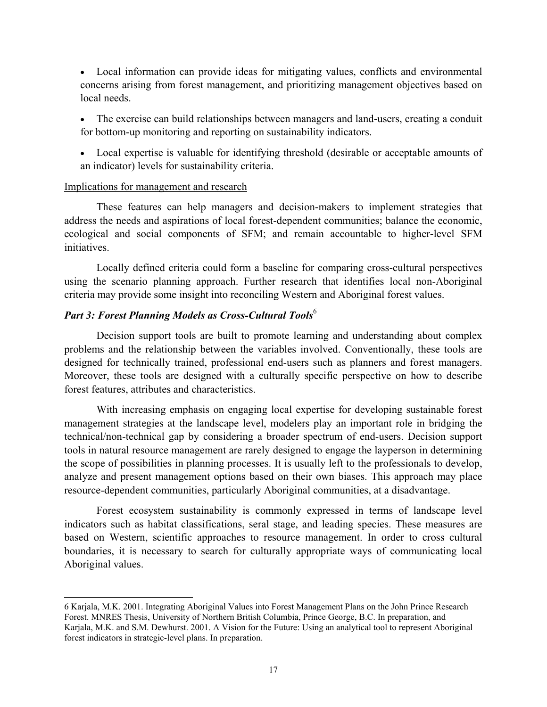- Local information can provide ideas for mitigating values, conflicts and environmental concerns arising from forest management, and prioritizing management objectives based on local needs.
- The exercise can build relationships between managers and land-users, creating a conduit for bottom-up monitoring and reporting on sustainability indicators.
- Local expertise is valuable for identifying threshold (desirable or acceptable amounts of an indicator) levels for sustainability criteria.

# Implications for management and research

 $\overline{a}$ 

These features can help managers and decision-makers to implement strategies that address the needs and aspirations of local forest-dependent communities; balance the economic, ecological and social components of SFM; and remain accountable to higher-level SFM initiatives.

Locally defined criteria could form a baseline for comparing cross-cultural perspectives using the scenario planning approach. Further research that identifies local non-Aboriginal criteria may provide some insight into reconciling Western and Aboriginal forest values.

# *Part 3: Forest Planning Models as Cross-Cultural Tools*[6](#page-21-0)

Decision support tools are built to promote learning and understanding about complex problems and the relationship between the variables involved. Conventionally, these tools are designed for technically trained, professional end-users such as planners and forest managers. Moreover, these tools are designed with a culturally specific perspective on how to describe forest features, attributes and characteristics.

With increasing emphasis on engaging local expertise for developing sustainable forest management strategies at the landscape level, modelers play an important role in bridging the technical/non-technical gap by considering a broader spectrum of end-users. Decision support tools in natural resource management are rarely designed to engage the layperson in determining the scope of possibilities in planning processes. It is usually left to the professionals to develop, analyze and present management options based on their own biases. This approach may place resource-dependent communities, particularly Aboriginal communities, at a disadvantage.

Forest ecosystem sustainability is commonly expressed in terms of landscape level indicators such as habitat classifications, seral stage, and leading species. These measures are based on Western, scientific approaches to resource management. In order to cross cultural boundaries, it is necessary to search for culturally appropriate ways of communicating local Aboriginal values.

<span id="page-21-0"></span><sup>6</sup> Karjala, M.K. 2001. Integrating Aboriginal Values into Forest Management Plans on the John Prince Research Forest. MNRES Thesis, University of Northern British Columbia, Prince George, B.C. In preparation, and Karjala, M.K. and S.M. Dewhurst. 2001. A Vision for the Future: Using an analytical tool to represent Aboriginal forest indicators in strategic-level plans. In preparation.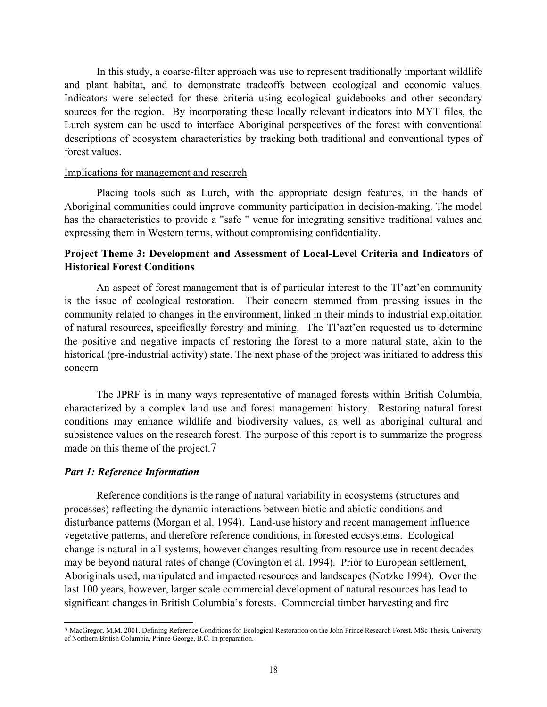In this study, a coarse-filter approach was use to represent traditionally important wildlife and plant habitat, and to demonstrate tradeoffs between ecological and economic values. Indicators were selected for these criteria using ecological guidebooks and other secondary sources for the region. By incorporating these locally relevant indicators into MYT files, the Lurch system can be used to interface Aboriginal perspectives of the forest with conventional descriptions of ecosystem characteristics by tracking both traditional and conventional types of forest values.

#### Implications for management and research

Placing tools such as Lurch, with the appropriate design features, in the hands of Aboriginal communities could improve community participation in decision-making. The model has the characteristics to provide a "safe " venue for integrating sensitive traditional values and expressing them in Western terms, without compromising confidentiality.

# **Project Theme 3: Development and Assessment of Local-Level Criteria and Indicators of Historical Forest Conditions**

An aspect of forest management that is of particular interest to the Tl'azt'en community is the issue of ecological restoration. Their concern stemmed from pressing issues in the community related to changes in the environment, linked in their minds to industrial exploitation of natural resources, specifically forestry and mining. The Tl'azt'en requested us to determine the positive and negative impacts of restoring the forest to a more natural state, akin to the historical (pre-industrial activity) state. The next phase of the project was initiated to address this concern

The JPRF is in many ways representative of managed forests within British Columbia, characterized by a complex land use and forest management history. Restoring natural forest conditions may enhance wildlife and biodiversity values, as well as aboriginal cultural and subsistence values on the research forest. The purpose of this report is to summarize the progress made on this theme of the project.[7](#page-22-0)

#### *Part 1: Reference Information*

 $\overline{a}$ 

Reference conditions is the range of natural variability in ecosystems (structures and processes) reflecting the dynamic interactions between biotic and abiotic conditions and disturbance patterns (Morgan et al. 1994). Land-use history and recent management influence vegetative patterns, and therefore reference conditions, in forested ecosystems. Ecological change is natural in all systems, however changes resulting from resource use in recent decades may be beyond natural rates of change (Covington et al. 1994). Prior to European settlement, Aboriginals used, manipulated and impacted resources and landscapes (Notzke 1994). Over the last 100 years, however, larger scale commercial development of natural resources has lead to significant changes in British Columbia's forests. Commercial timber harvesting and fire

<span id="page-22-0"></span><sup>7</sup> MacGregor, M.M. 2001. Defining Reference Conditions for Ecological Restoration on the John Prince Research Forest. MSc Thesis, University of Northern British Columbia, Prince George, B.C. In preparation.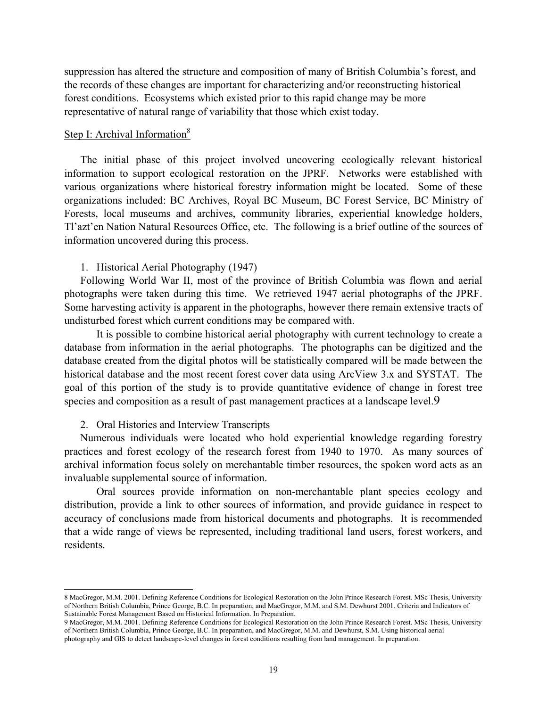suppression has altered the structure and composition of many of British Columbia's forest, and the records of these changes are important for characterizing and/or reconstructing historical forest conditions. Ecosystems which existed prior to this rapid change may be more representative of natural range of variability that those which exist today.

#### Step I: Archival Information<sup>8</sup>

The initial phase of this project involved uncovering ecologically relevant historical information to support ecological restoration on the JPRF. Networks were established with various organizations where historical forestry information might be located. Some of these organizations included: BC Archives, Royal BC Museum, BC Forest Service, BC Ministry of Forests, local museums and archives, community libraries, experiential knowledge holders, Tl'azt'en Nation Natural Resources Office, etc. The following is a brief outline of the sources of information uncovered during this process.

#### 1. Historical Aerial Photography (1947)

Following World War II, most of the province of British Columbia was flown and aerial photographs were taken during this time. We retrieved 1947 aerial photographs of the JPRF. Some harvesting activity is apparent in the photographs, however there remain extensive tracts of undisturbed forest which current conditions may be compared with.

It is possible to combine historical aerial photography with current technology to create a database from information in the aerial photographs. The photographs can be digitized and the database created from the digital photos will be statistically compared will be made between the historical database and the most recent forest cover data using ArcView 3.x and SYSTAT. The goal of this portion of the study is to provide quantitative evidence of change in forest tree species and composition as a result of past management practices at a landscape level[.9](#page-23-1)

#### 2. Oral Histories and Interview Transcripts

 $\overline{a}$ 

Numerous individuals were located who hold experiential knowledge regarding forestry practices and forest ecology of the research forest from 1940 to 1970. As many sources of archival information focus solely on merchantable timber resources, the spoken word acts as an invaluable supplemental source of information.

Oral sources provide information on non-merchantable plant species ecology and distribution, provide a link to other sources of information, and provide guidance in respect to accuracy of conclusions made from historical documents and photographs. It is recommended that a wide range of views be represented, including traditional land users, forest workers, and residents.

<span id="page-23-0"></span><sup>8</sup> MacGregor, M.M. 2001. Defining Reference Conditions for Ecological Restoration on the John Prince Research Forest. MSc Thesis, University of Northern British Columbia, Prince George, B.C. In preparation, and MacGregor, M.M. and S.M. Dewhurst 2001. Criteria and Indicators of Sustainable Forest Management Based on Historical Information. In Preparation.

<span id="page-23-1"></span><sup>9</sup> MacGregor, M.M. 2001. Defining Reference Conditions for Ecological Restoration on the John Prince Research Forest. MSc Thesis, University of Northern British Columbia, Prince George, B.C. In preparation, and MacGregor, M.M. and Dewhurst, S.M. Using historical aerial photography and GIS to detect landscape-level changes in forest conditions resulting from land management. In preparation.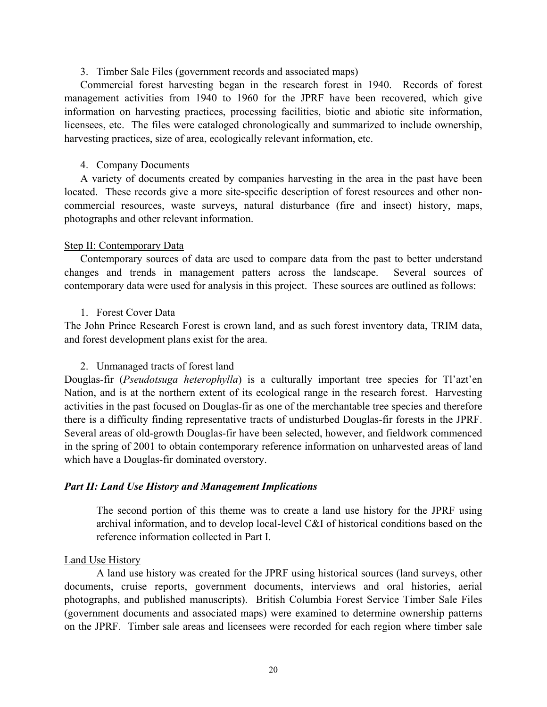## 3. Timber Sale Files (government records and associated maps)

Commercial forest harvesting began in the research forest in 1940. Records of forest management activities from 1940 to 1960 for the JPRF have been recovered, which give information on harvesting practices, processing facilities, biotic and abiotic site information, licensees, etc. The files were cataloged chronologically and summarized to include ownership, harvesting practices, size of area, ecologically relevant information, etc.

#### 4. Company Documents

A variety of documents created by companies harvesting in the area in the past have been located. These records give a more site-specific description of forest resources and other noncommercial resources, waste surveys, natural disturbance (fire and insect) history, maps, photographs and other relevant information.

# Step II: Contemporary Data

Contemporary sources of data are used to compare data from the past to better understand changes and trends in management patters across the landscape. Several sources of contemporary data were used for analysis in this project. These sources are outlined as follows:

# 1. Forest Cover Data

The John Prince Research Forest is crown land, and as such forest inventory data, TRIM data, and forest development plans exist for the area.

# 2. Unmanaged tracts of forest land

Douglas-fir (*Pseudotsuga heterophylla*) is a culturally important tree species for Tl'azt'en Nation, and is at the northern extent of its ecological range in the research forest. Harvesting activities in the past focused on Douglas-fir as one of the merchantable tree species and therefore there is a difficulty finding representative tracts of undisturbed Douglas-fir forests in the JPRF. Several areas of old-growth Douglas-fir have been selected, however, and fieldwork commenced in the spring of 2001 to obtain contemporary reference information on unharvested areas of land which have a Douglas-fir dominated overstory.

# *Part II: Land Use History and Management Implications*

The second portion of this theme was to create a land use history for the JPRF using archival information, and to develop local-level C&I of historical conditions based on the reference information collected in Part I.

#### Land Use History

A land use history was created for the JPRF using historical sources (land surveys, other documents, cruise reports, government documents, interviews and oral histories, aerial photographs, and published manuscripts). British Columbia Forest Service Timber Sale Files (government documents and associated maps) were examined to determine ownership patterns on the JPRF. Timber sale areas and licensees were recorded for each region where timber sale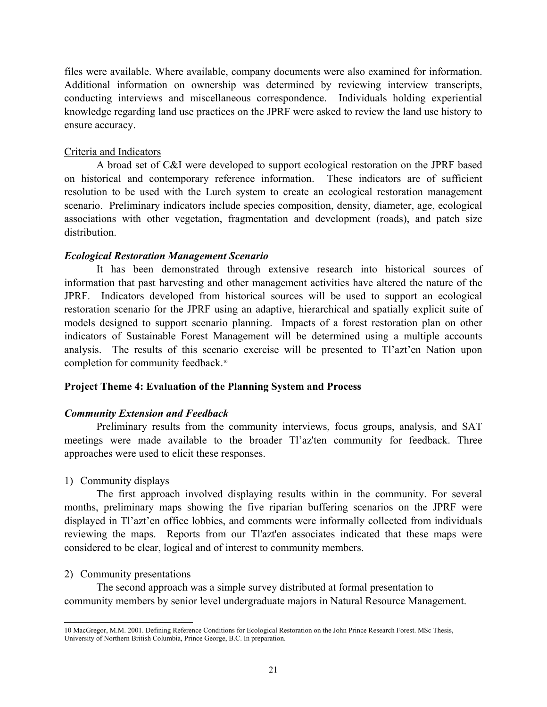files were available. Where available, company documents were also examined for information. Additional information on ownership was determined by reviewing interview transcripts, conducting interviews and miscellaneous correspondence. Individuals holding experiential knowledge regarding land use practices on the JPRF were asked to review the land use history to ensure accuracy.

# Criteria and Indicators

A broad set of C&I were developed to support ecological restoration on the JPRF based on historical and contemporary reference information. These indicators are of sufficient resolution to be used with the Lurch system to create an ecological restoration management scenario. Preliminary indicators include species composition, density, diameter, age, ecological associations with other vegetation, fragmentation and development (roads), and patch size distribution.

# *Ecological Restoration Management Scenario*

It has been demonstrated through extensive research into historical sources of information that past harvesting and other management activities have altered the nature of the JPRF. Indicators developed from historical sources will be used to support an ecological restoration scenario for the JPRF using an adaptive, hierarchical and spatially explicit suite of models designed to support scenario planning. Impacts of a forest restoration plan on other indicators of Sustainable Forest Management will be determined using a multiple accounts analysis. The results of this scenario exercise will be presented to Tl'azt'en Nation upon completion for community feedback.<sup>[10](#page-25-0)</sup>

# **Project Theme 4: Evaluation of the Planning System and Process**

# *Community Extension and Feedback*

Preliminary results from the community interviews, focus groups, analysis, and SAT meetings were made available to the broader Tl'az'ten community for feedback. Three approaches were used to elicit these responses.

# 1) Community displays

The first approach involved displaying results within in the community. For several months, preliminary maps showing the five riparian buffering scenarios on the JPRF were displayed in Tl'azt'en office lobbies, and comments were informally collected from individuals reviewing the maps. Reports from our Tl'azt'en associates indicated that these maps were considered to be clear, logical and of interest to community members.

# 2) Community presentations

The second approach was a simple survey distributed at formal presentation to community members by senior level undergraduate majors in Natural Resource Management.

<span id="page-25-0"></span> $\overline{a}$ 10 MacGregor, M.M. 2001. Defining Reference Conditions for Ecological Restoration on the John Prince Research Forest. MSc Thesis, University of Northern British Columbia, Prince George, B.C. In preparation.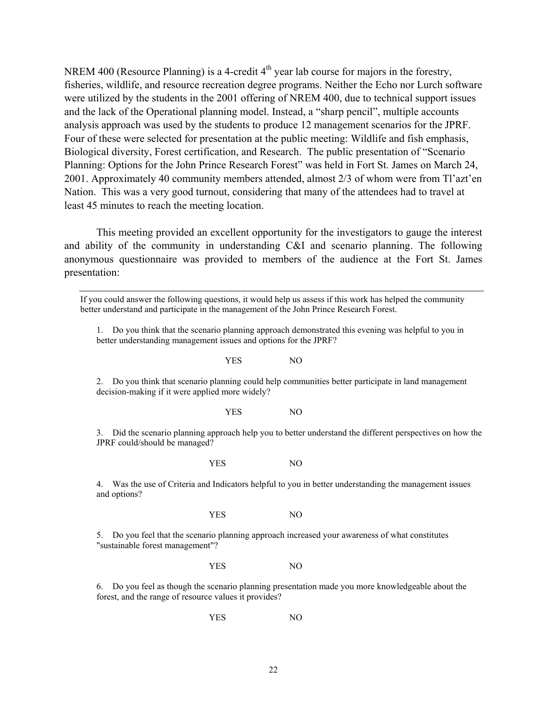NREM 400 (Resource Planning) is a 4-credit 4<sup>th</sup> year lab course for majors in the forestry, fisheries, wildlife, and resource recreation degree programs. Neither the Echo nor Lurch software were utilized by the students in the 2001 offering of NREM 400, due to technical support issues and the lack of the Operational planning model. Instead, a "sharp pencil", multiple accounts analysis approach was used by the students to produce 12 management scenarios for the JPRF. Four of these were selected for presentation at the public meeting: Wildlife and fish emphasis, Biological diversity, Forest certification, and Research. The public presentation of "Scenario Planning: Options for the John Prince Research Forest" was held in Fort St. James on March 24, 2001. Approximately 40 community members attended, almost 2/3 of whom were from Tl'azt'en Nation. This was a very good turnout, considering that many of the attendees had to travel at least 45 minutes to reach the meeting location.

This meeting provided an excellent opportunity for the investigators to gauge the interest and ability of the community in understanding C&I and scenario planning. The following anonymous questionnaire was provided to members of the audience at the Fort St. James presentation:

If you could answer the following questions, it would help us assess if this work has helped the community better understand and participate in the management of the John Prince Research Forest.

1. Do you think that the scenario planning approach demonstrated this evening was helpful to you in better understanding management issues and options for the JPRF?

#### YES NO

2. Do you think that scenario planning could help communities better participate in land management decision-making if it were applied more widely?

#### YES NO

3. Did the scenario planning approach help you to better understand the different perspectives on how the JPRF could/should be managed?

YES NO

4. Was the use of Criteria and Indicators helpful to you in better understanding the management issues and options?

#### YES NO

5. Do you feel that the scenario planning approach increased your awareness of what constitutes "sustainable forest management"?

#### YES NO

6. Do you feel as though the scenario planning presentation made you more knowledgeable about the forest, and the range of resource values it provides?

YES NO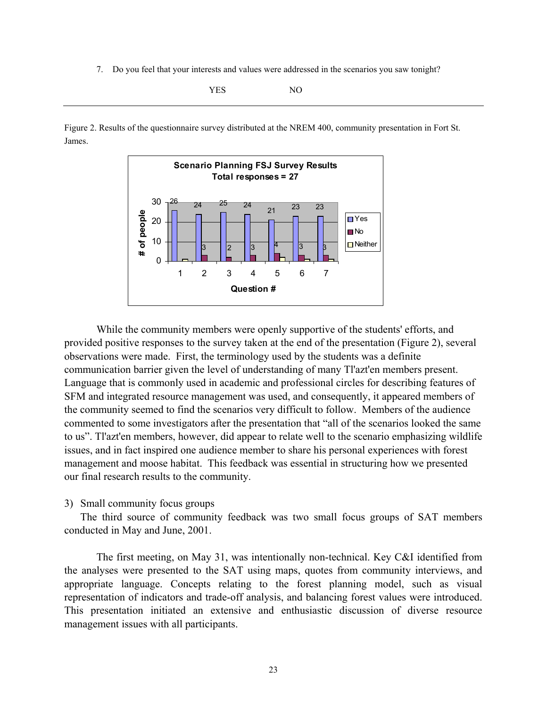7. Do you feel that your interests and values were addressed in the scenarios you saw tonight?

YES NO

Figure 2. Results of the questionnaire survey distributed at the NREM 400, community presentation in Fort St. James.



While the community members were openly supportive of the students' efforts, and provided positive responses to the survey taken at the end of the presentation (Figure 2), several observations were made. First, the terminology used by the students was a definite communication barrier given the level of understanding of many Tl'azt'en members present. Language that is commonly used in academic and professional circles for describing features of SFM and integrated resource management was used, and consequently, it appeared members of the community seemed to find the scenarios very difficult to follow. Members of the audience commented to some investigators after the presentation that "all of the scenarios looked the same to us". Tl'azt'en members, however, did appear to relate well to the scenario emphasizing wildlife issues, and in fact inspired one audience member to share his personal experiences with forest management and moose habitat. This feedback was essential in structuring how we presented our final research results to the community.

3) Small community focus groups

The third source of community feedback was two small focus groups of SAT members conducted in May and June, 2001.

The first meeting, on May 31, was intentionally non-technical. Key C&I identified from the analyses were presented to the SAT using maps, quotes from community interviews, and appropriate language. Concepts relating to the forest planning model, such as visual representation of indicators and trade-off analysis, and balancing forest values were introduced. This presentation initiated an extensive and enthusiastic discussion of diverse resource management issues with all participants.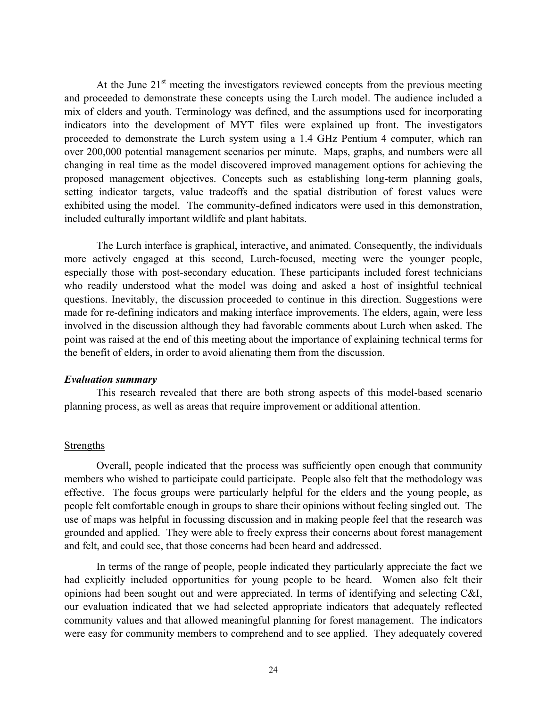At the June  $21<sup>st</sup>$  meeting the investigators reviewed concepts from the previous meeting and proceeded to demonstrate these concepts using the Lurch model. The audience included a mix of elders and youth. Terminology was defined, and the assumptions used for incorporating indicators into the development of MYT files were explained up front. The investigators proceeded to demonstrate the Lurch system using a 1.4 GHz Pentium 4 computer, which ran over 200,000 potential management scenarios per minute. Maps, graphs, and numbers were all changing in real time as the model discovered improved management options for achieving the proposed management objectives. Concepts such as establishing long-term planning goals, setting indicator targets, value tradeoffs and the spatial distribution of forest values were exhibited using the model. The community-defined indicators were used in this demonstration, included culturally important wildlife and plant habitats.

The Lurch interface is graphical, interactive, and animated. Consequently, the individuals more actively engaged at this second, Lurch-focused, meeting were the younger people, especially those with post-secondary education. These participants included forest technicians who readily understood what the model was doing and asked a host of insightful technical questions. Inevitably, the discussion proceeded to continue in this direction. Suggestions were made for re-defining indicators and making interface improvements. The elders, again, were less involved in the discussion although they had favorable comments about Lurch when asked. The point was raised at the end of this meeting about the importance of explaining technical terms for the benefit of elders, in order to avoid alienating them from the discussion.

#### *Evaluation summary*

This research revealed that there are both strong aspects of this model-based scenario planning process, as well as areas that require improvement or additional attention.

#### **Strengths**

Overall, people indicated that the process was sufficiently open enough that community members who wished to participate could participate. People also felt that the methodology was effective. The focus groups were particularly helpful for the elders and the young people, as people felt comfortable enough in groups to share their opinions without feeling singled out. The use of maps was helpful in focussing discussion and in making people feel that the research was grounded and applied. They were able to freely express their concerns about forest management and felt, and could see, that those concerns had been heard and addressed.

In terms of the range of people, people indicated they particularly appreciate the fact we had explicitly included opportunities for young people to be heard. Women also felt their opinions had been sought out and were appreciated. In terms of identifying and selecting C&I, our evaluation indicated that we had selected appropriate indicators that adequately reflected community values and that allowed meaningful planning for forest management. The indicators were easy for community members to comprehend and to see applied. They adequately covered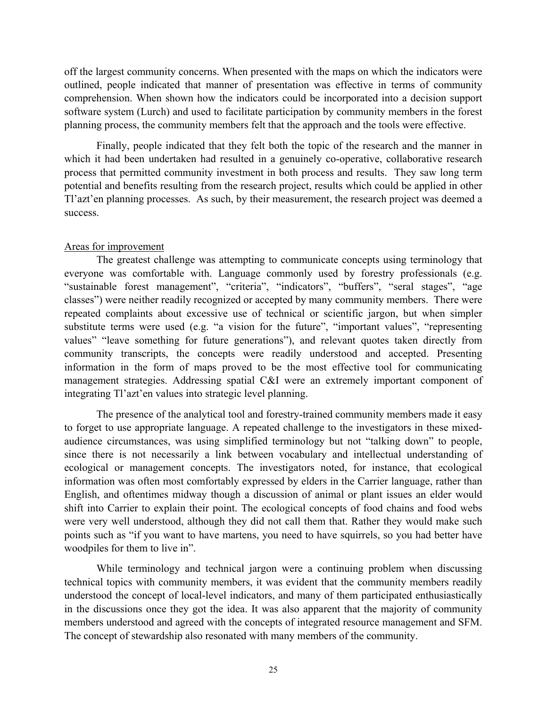off the largest community concerns. When presented with the maps on which the indicators were outlined, people indicated that manner of presentation was effective in terms of community comprehension. When shown how the indicators could be incorporated into a decision support software system (Lurch) and used to facilitate participation by community members in the forest planning process, the community members felt that the approach and the tools were effective.

Finally, people indicated that they felt both the topic of the research and the manner in which it had been undertaken had resulted in a genuinely co-operative, collaborative research process that permitted community investment in both process and results. They saw long term potential and benefits resulting from the research project, results which could be applied in other Tl'azt'en planning processes. As such, by their measurement, the research project was deemed a success.

# Areas for improvement

The greatest challenge was attempting to communicate concepts using terminology that everyone was comfortable with. Language commonly used by forestry professionals (e.g. "sustainable forest management", "criteria", "indicators", "buffers", "seral stages", "age classes") were neither readily recognized or accepted by many community members. There were repeated complaints about excessive use of technical or scientific jargon, but when simpler substitute terms were used (e.g. "a vision for the future", "important values", "representing values" "leave something for future generations"), and relevant quotes taken directly from community transcripts, the concepts were readily understood and accepted. Presenting information in the form of maps proved to be the most effective tool for communicating management strategies. Addressing spatial C&I were an extremely important component of integrating Tl'azt'en values into strategic level planning.

The presence of the analytical tool and forestry-trained community members made it easy to forget to use appropriate language. A repeated challenge to the investigators in these mixedaudience circumstances, was using simplified terminology but not "talking down" to people, since there is not necessarily a link between vocabulary and intellectual understanding of ecological or management concepts. The investigators noted, for instance, that ecological information was often most comfortably expressed by elders in the Carrier language, rather than English, and oftentimes midway though a discussion of animal or plant issues an elder would shift into Carrier to explain their point. The ecological concepts of food chains and food webs were very well understood, although they did not call them that. Rather they would make such points such as "if you want to have martens, you need to have squirrels, so you had better have woodpiles for them to live in".

While terminology and technical jargon were a continuing problem when discussing technical topics with community members, it was evident that the community members readily understood the concept of local-level indicators, and many of them participated enthusiastically in the discussions once they got the idea. It was also apparent that the majority of community members understood and agreed with the concepts of integrated resource management and SFM. The concept of stewardship also resonated with many members of the community.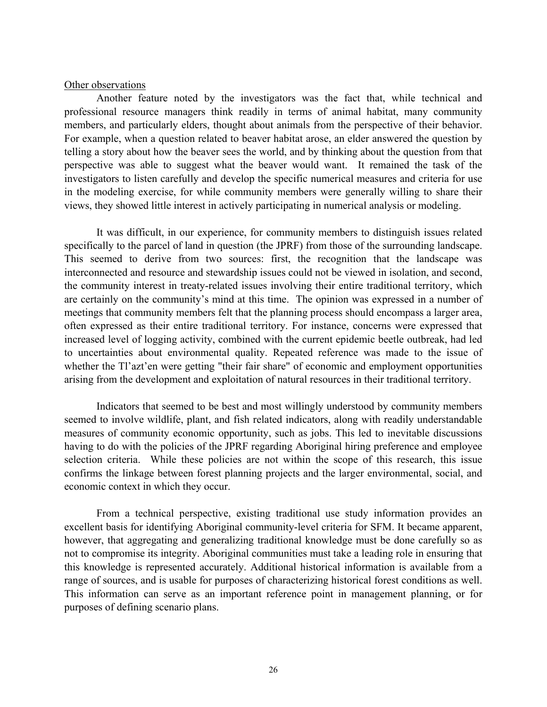#### Other observations

Another feature noted by the investigators was the fact that, while technical and professional resource managers think readily in terms of animal habitat, many community members, and particularly elders, thought about animals from the perspective of their behavior. For example, when a question related to beaver habitat arose, an elder answered the question by telling a story about how the beaver sees the world, and by thinking about the question from that perspective was able to suggest what the beaver would want. It remained the task of the investigators to listen carefully and develop the specific numerical measures and criteria for use in the modeling exercise, for while community members were generally willing to share their views, they showed little interest in actively participating in numerical analysis or modeling.

It was difficult, in our experience, for community members to distinguish issues related specifically to the parcel of land in question (the JPRF) from those of the surrounding landscape. This seemed to derive from two sources: first, the recognition that the landscape was interconnected and resource and stewardship issues could not be viewed in isolation, and second, the community interest in treaty-related issues involving their entire traditional territory, which are certainly on the community's mind at this time. The opinion was expressed in a number of meetings that community members felt that the planning process should encompass a larger area, often expressed as their entire traditional territory. For instance, concerns were expressed that increased level of logging activity, combined with the current epidemic beetle outbreak, had led to uncertainties about environmental quality. Repeated reference was made to the issue of whether the Tl'azt'en were getting "their fair share" of economic and employment opportunities arising from the development and exploitation of natural resources in their traditional territory.

Indicators that seemed to be best and most willingly understood by community members seemed to involve wildlife, plant, and fish related indicators, along with readily understandable measures of community economic opportunity, such as jobs. This led to inevitable discussions having to do with the policies of the JPRF regarding Aboriginal hiring preference and employee selection criteria. While these policies are not within the scope of this research, this issue confirms the linkage between forest planning projects and the larger environmental, social, and economic context in which they occur.

From a technical perspective, existing traditional use study information provides an excellent basis for identifying Aboriginal community-level criteria for SFM. It became apparent, however, that aggregating and generalizing traditional knowledge must be done carefully so as not to compromise its integrity. Aboriginal communities must take a leading role in ensuring that this knowledge is represented accurately. Additional historical information is available from a range of sources, and is usable for purposes of characterizing historical forest conditions as well. This information can serve as an important reference point in management planning, or for purposes of defining scenario plans.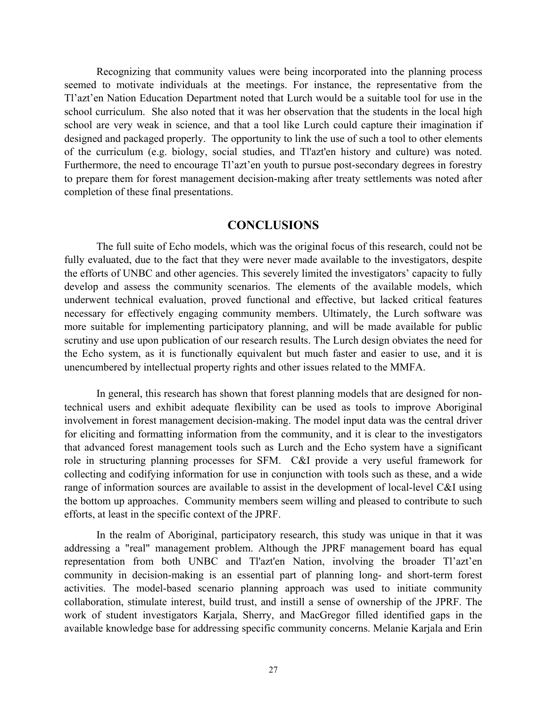Recognizing that community values were being incorporated into the planning process seemed to motivate individuals at the meetings. For instance, the representative from the Tl'azt'en Nation Education Department noted that Lurch would be a suitable tool for use in the school curriculum. She also noted that it was her observation that the students in the local high school are very weak in science, and that a tool like Lurch could capture their imagination if designed and packaged properly. The opportunity to link the use of such a tool to other elements of the curriculum (e.g. biology, social studies, and Tl'azt'en history and culture) was noted. Furthermore, the need to encourage Tl'azt'en youth to pursue post-secondary degrees in forestry to prepare them for forest management decision-making after treaty settlements was noted after completion of these final presentations.

# **CONCLUSIONS**

The full suite of Echo models, which was the original focus of this research, could not be fully evaluated, due to the fact that they were never made available to the investigators, despite the efforts of UNBC and other agencies. This severely limited the investigators' capacity to fully develop and assess the community scenarios. The elements of the available models, which underwent technical evaluation, proved functional and effective, but lacked critical features necessary for effectively engaging community members. Ultimately, the Lurch software was more suitable for implementing participatory planning, and will be made available for public scrutiny and use upon publication of our research results. The Lurch design obviates the need for the Echo system, as it is functionally equivalent but much faster and easier to use, and it is unencumbered by intellectual property rights and other issues related to the MMFA.

In general, this research has shown that forest planning models that are designed for nontechnical users and exhibit adequate flexibility can be used as tools to improve Aboriginal involvement in forest management decision-making. The model input data was the central driver for eliciting and formatting information from the community, and it is clear to the investigators that advanced forest management tools such as Lurch and the Echo system have a significant role in structuring planning processes for SFM. C&I provide a very useful framework for collecting and codifying information for use in conjunction with tools such as these, and a wide range of information sources are available to assist in the development of local-level C&I using the bottom up approaches. Community members seem willing and pleased to contribute to such efforts, at least in the specific context of the JPRF.

In the realm of Aboriginal, participatory research, this study was unique in that it was addressing a "real" management problem. Although the JPRF management board has equal representation from both UNBC and Tl'azt'en Nation, involving the broader Tl'azt'en community in decision-making is an essential part of planning long- and short-term forest activities. The model-based scenario planning approach was used to initiate community collaboration, stimulate interest, build trust, and instill a sense of ownership of the JPRF. The work of student investigators Karjala, Sherry, and MacGregor filled identified gaps in the available knowledge base for addressing specific community concerns. Melanie Karjala and Erin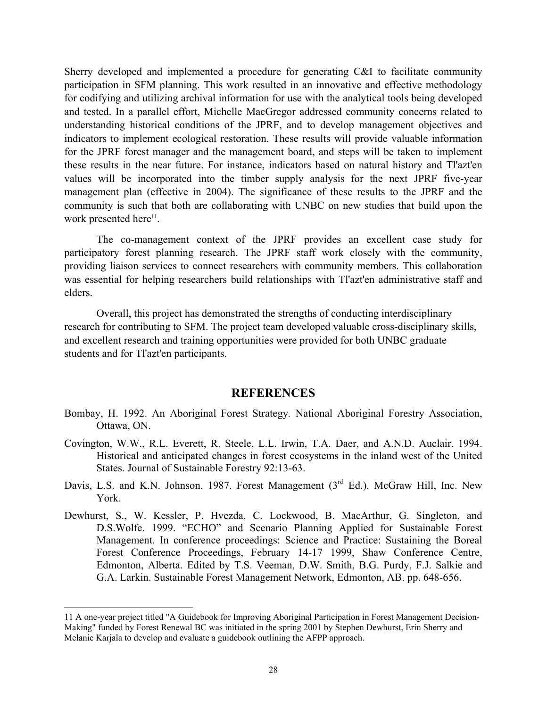Sherry developed and implemented a procedure for generating C&I to facilitate community participation in SFM planning. This work resulted in an innovative and effective methodology for codifying and utilizing archival information for use with the analytical tools being developed and tested. In a parallel effort, Michelle MacGregor addressed community concerns related to understanding historical conditions of the JPRF, and to develop management objectives and indicators to implement ecological restoration. These results will provide valuable information for the JPRF forest manager and the management board, and steps will be taken to implement these results in the near future. For instance, indicators based on natural history and Tl'azt'en values will be incorporated into the timber supply analysis for the next JPRF five-year management plan (effective in 2004). The significance of these results to the JPRF and the community is such that both are collaborating with UNBC on new studies that build upon the work presented here<sup>11</sup>.

The co-management context of the JPRF provides an excellent case study for participatory forest planning research. The JPRF staff work closely with the community, providing liaison services to connect researchers with community members. This collaboration was essential for helping researchers build relationships with Tl'azt'en administrative staff and elders.

Overall, this project has demonstrated the strengths of conducting interdisciplinary research for contributing to SFM. The project team developed valuable cross-disciplinary skills, and excellent research and training opportunities were provided for both UNBC graduate students and for Tl'azt'en participants.

#### **REFERENCES**

- Bombay, H. 1992. An Aboriginal Forest Strategy*.* National Aboriginal Forestry Association, Ottawa, ON.
- Covington, W.W., R.L. Everett, R. Steele, L.L. Irwin, T.A. Daer, and A.N.D. Auclair. 1994. Historical and anticipated changes in forest ecosystems in the inland west of the United States. Journal of Sustainable Forestry 92:13-63.
- Davis, L.S. and K.N. Johnson. 1987. Forest Management (3<sup>rd</sup> Ed.). McGraw Hill, Inc. New York.
- Dewhurst, S., W. Kessler, P. Hvezda, C. Lockwood, B. MacArthur, G. Singleton, and D.S.Wolfe. 1999. "ECHO" and Scenario Planning Applied for Sustainable Forest Management. In conference proceedings: Science and Practice: Sustaining the Boreal Forest Conference Proceedings, February 14-17 1999, Shaw Conference Centre, Edmonton, Alberta. Edited by T.S. Veeman, D.W. Smith, B.G. Purdy, F.J. Salkie and G.A. Larkin. Sustainable Forest Management Network, Edmonton, AB. pp. 648-656.

l

<span id="page-32-0"></span><sup>11</sup> A one-year project titled "A Guidebook for Improving Aboriginal Participation in Forest Management Decision-Making" funded by Forest Renewal BC was initiated in the spring 2001 by Stephen Dewhurst, Erin Sherry and Melanie Karjala to develop and evaluate a guidebook outlining the AFPP approach.